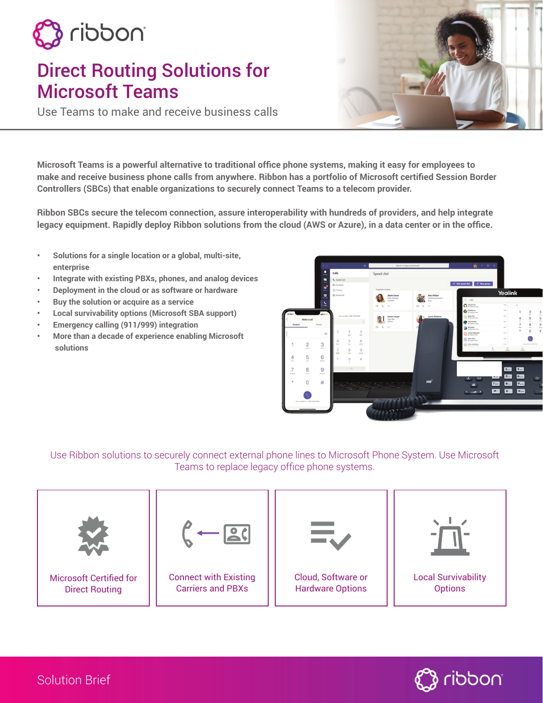

# Direct Routing Solutions for Microsoft Teams

Use Teams to make and receive business calls

**Microsoft Teams is a powerful alternative to traditional office phone systems, making it easy for employees to make and receive business phone calls from anywhere. Ribbon has a portfolio of Microsoft certified Session Border Controllers (SBCs) that enable organizations to securely connect Teams to a telecom provider.** 

**Ribbon SBCs secure the telecom connection, assure interoperability with hundreds of providers, and help integrate legacy equipment. Rapidly deploy Ribbon solutions from the cloud (AWS or Azure), in a data center or in the office.** 

- **• Solutions for a single location or a global, multi-site, enterprise**
- **• Integrate with existing PBXs, phones, and analog devices**
- **• Deployment in the cloud or as software or hardware**
- **• Buy the solution or acquire as a service**
- **• Local survivability options (Microsoft SBA support)**
- **• Emergency calling (911/999) integration**
- **• More than a decade of experience enabling Microsoft solutions**



## Use Ribbon solutions to securely connect external phone lines to Microsoft Phone System. Use Microsoft Teams to replace legacy office phone systems.





Solution Brief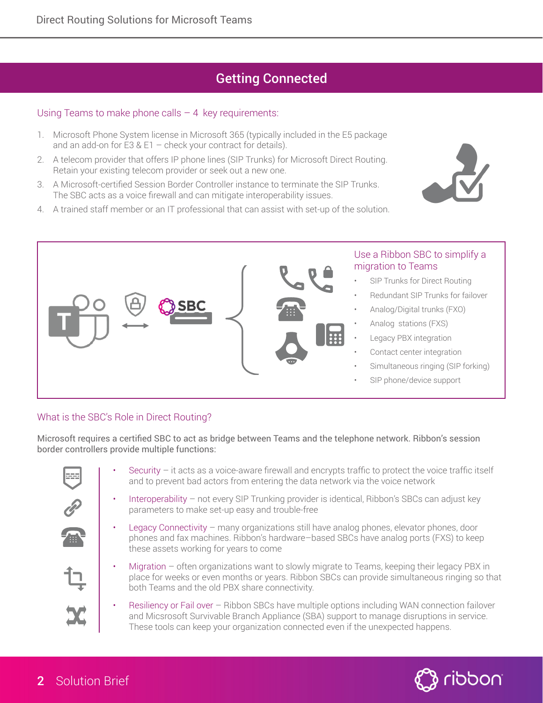## Getting Connected

## Using Teams to make phone calls  $-4$  key requirements:

- 1. Microsoft Phone System license in Microsoft 365 (typically included in the E5 package and an add-on for E3 & E1 – check your contract for details).
- 2. A telecom provider that offers IP phone lines (SIP Trunks) for Microsoft Direct Routing. Retain your existing telecom provider or seek out a new one.
- 3. A Microsoft-certified Session Border Controller instance to terminate the SIP Trunks. The SBC acts as a voice firewall and can mitigate interoperability issues.
- 4. A trained staff member or an IT professional that can assist with set-up of the solution.





### Use a Ribbon SBC to simplify a migration to Teams

- SIP Trunks for Direct Routing
- Redundant SIP Trunks for failover
- Analog/Digital trunks (FXO)
- Analog stations (FXS)
- Legacy PBX integration
- Contact center integration
- Simultaneous ringing (SIP forking)
- SIP phone/device support

## What is the SBC's Role in Direct Routing?

Microsoft requires a certified SBC to act as bridge between Teams and the telephone network. Ribbon's session border controllers provide multiple functions:



- Security  $-$  it acts as a voice-aware firewall and encrypts traffic to protect the voice traffic itself and to prevent bad actors from entering the data network via the voice network
- Interoperability not every SIP Trunking provider is identical, Ribbon's SBCs can adjust key parameters to make set-up easy and trouble-free
- Legacy Connectivity many organizations still have analog phones, elevator phones, door phones and fax machines. Ribbon's hardware–based SBCs have analog ports (FXS) to keep these assets working for years to come
- Migration often organizations want to slowly migrate to Teams, keeping their legacy PBX in place for weeks or even months or years. Ribbon SBCs can provide simultaneous ringing so that both Teams and the old PBX share connectivity.
- Resiliency or Fail over Ribbon SBCs have multiple options including WAN connection failover and Micsrosoft Survivable Branch Appliance (SBA) support to manage disruptions in service. These tools can keep your organization connected even if the unexpected happens.

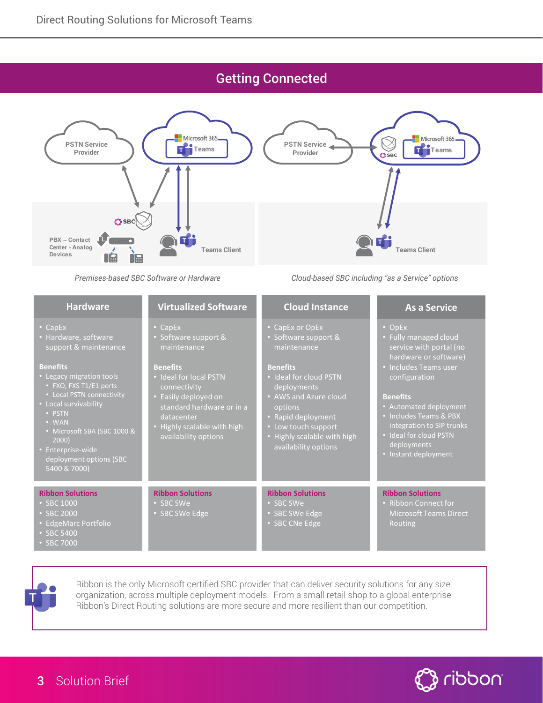## Getting Connected



*Premises-based SBC Software or Hardware*

#### • CapEx Software support & **Benefits** • Ideal for local PSTN connectivity • Easily deployed on availability options **Virtualized Software** • CapEx or OpEx • Software support & **Benefits** • Ideal for cloud PSTN deployments • AWS and Azure cloud options Low touch support availability options **Cloud Instance Ribbon Solutions** • SBC SWe Edge • SBC CNe Edge **Ribbon Solutions** • SBC SWe Edge • CapEx support & maintenance **Benefits** • PSTN 2000) deployment options (SBC **Hardware Ribbon Solutions** • SBC 1000 • SBC 2000 • EdgeMarc Portfolio • SBC 5400

**As a Service**

• OpEx

*Cloud-based SBC including "as a Service" options*

- Fully managed cloud
- Includes Teams user configuration

#### **Benefits**

- Includes Teams & PBX integration to SIP trunks
- 
- 

### **Ribbon Solutions**

Routing



Ribbon is the only Microsoft certified SBC provider that can deliver security solutions for any size organization, across multiple deployment models. From a small retail shop to a global enterprise Ribbon's Direct Routing solutions are more secure and more resilient than our competition.